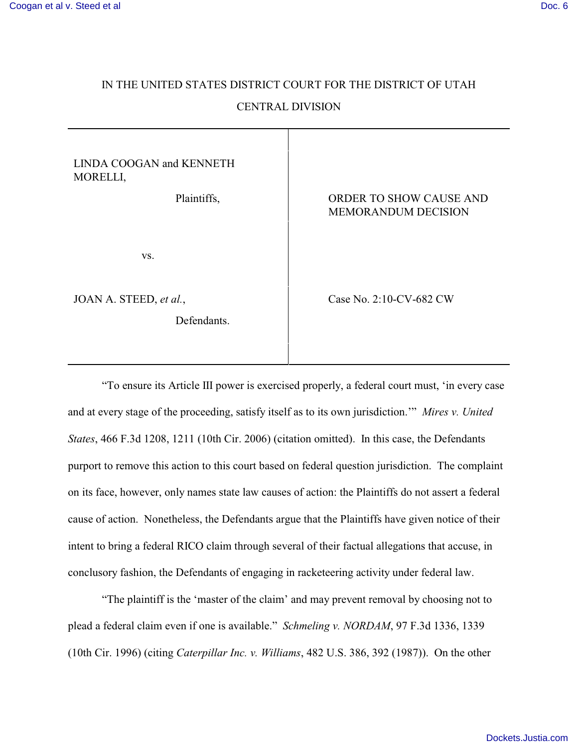## IN THE UNITED STATES DISTRICT COURT FOR THE DISTRICT OF UTAH CENTRAL DIVISION

| LINDA COOGAN and KENNETH<br>MORELLI,  |                                                       |
|---------------------------------------|-------------------------------------------------------|
| Plaintiffs,                           | ORDER TO SHOW CAUSE AND<br><b>MEMORANDUM DECISION</b> |
| VS.                                   |                                                       |
| JOAN A. STEED, et al.,<br>Defendants. | Case No. 2:10-CV-682 CW                               |

"To ensure its Article III power is exercised properly, a federal court must, 'in every case and at every stage of the proceeding, satisfy itself as to its own jurisdiction.'" *Mires v. United States*, 466 F.3d 1208, 1211 (10th Cir. 2006) (citation omitted). In this case, the Defendants purport to remove this action to this court based on federal question jurisdiction. The complaint on its face, however, only names state law causes of action: the Plaintiffs do not assert a federal cause of action. Nonetheless, the Defendants argue that the Plaintiffs have given notice of their intent to bring a federal RICO claim through several of their factual allegations that accuse, in conclusory fashion, the Defendants of engaging in racketeering activity under federal law.

"The plaintiff is the 'master of the claim' and may prevent removal by choosing not to plead a federal claim even if one is available." *Schmeling v. NORDAM*, 97 F.3d 1336, 1339 (10th Cir. 1996) (citing *Caterpillar Inc. v. Williams*, 482 U.S. 386, 392 (1987)). On the other